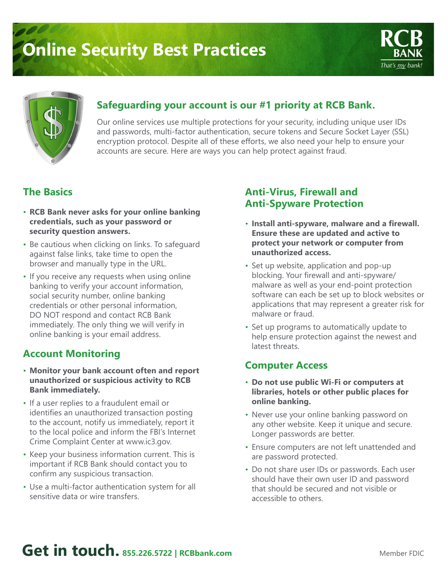# **Online Security Best Practices**





#### **Safeguarding your account is our #1 priority at RCB Bank.**

Our online services use multiple protections for your security, including unique user IDs and passwords, multi-factor authentication, secure tokens and Secure Socket Layer (SSL) encryption protocol. Despite all of these efforts, we also need your help to ensure your accounts are secure. Here are ways you can help protect against fraud.

#### **The Basics**

- **RCB Bank never asks for your online banking credentials, such as your password or security question answers.**
- Be cautious when clicking on links. To safeguard against false links, take time to open the browser and manually type in the URL.
- If you receive any requests when using online banking to verify your account information, social security number, online banking credentials or other personal information, DO NOT respond and contact RCB Bank immediately. The only thing we will verify in online banking is your email address.

#### **Account Monitoring**

- **Monitor your bank account often and report unauthorized or suspicious activity to RCB Bank immediately.**
- If a user replies to a fraudulent email or identifies an unauthorized transaction posting to the account, notify us immediately, report it to the local police and inform the FBI's Internet Crime Complaint Center at www.ic3.gov.
- Keep your business information current. This is important if RCB Bank should contact you to confirm any suspicious transaction.
- Use a multi-factor authentication system for all sensitive data or wire transfers.

#### **Anti-Virus, Firewall and Anti-Spyware Protection**

- **Install anti-spyware, malware and a firewall. Ensure these are updated and active to protect your network or computer from unauthorized access.**
- Set up website, application and pop-up blocking. Your firewall and anti-spyware/ malware as well as your end-point protection software can each be set up to block websites or applications that may represent a greater risk for malware or fraud.
- Set up programs to automatically update to help ensure protection against the newest and latest threats.

#### **Computer Access**

- **Do not use public Wi-Fi or computers at libraries, hotels or other public places for online banking.**
- Never use your online banking password on any other website. Keep it unique and secure. Longer passwords are better.
- Ensure computers are not left unattended and are password protected.
- Do not share user IDs or passwords. Each user should have their own user ID and password that should be secured and not visible or accessible to others.

## **Get in touch. 855.226.5722 | RCBbank.com**